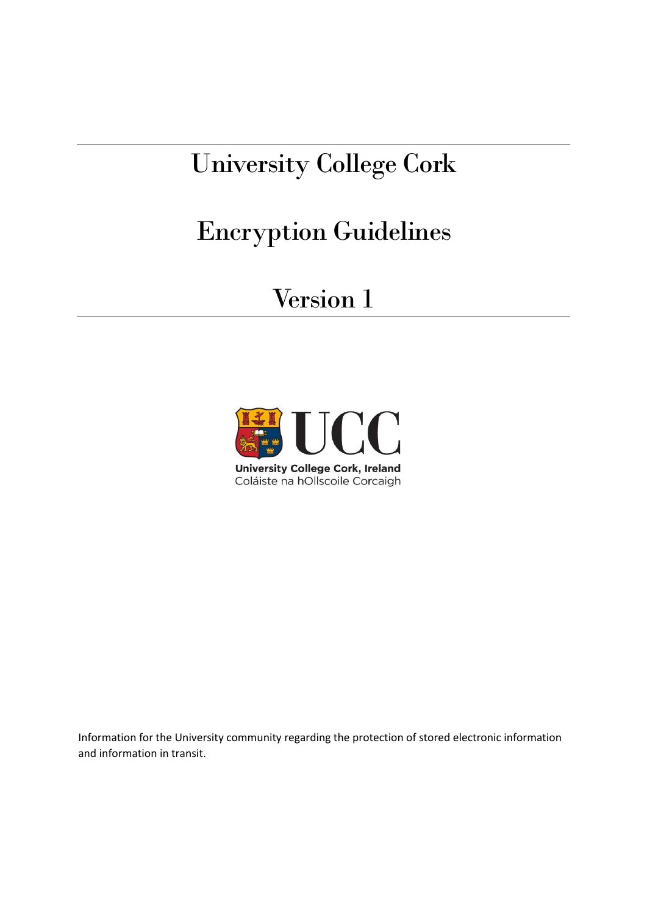# University College Cork

# Encryption Guidelines

# Version 1



Information for the University community regarding the protection of stored electronic information and information in transit.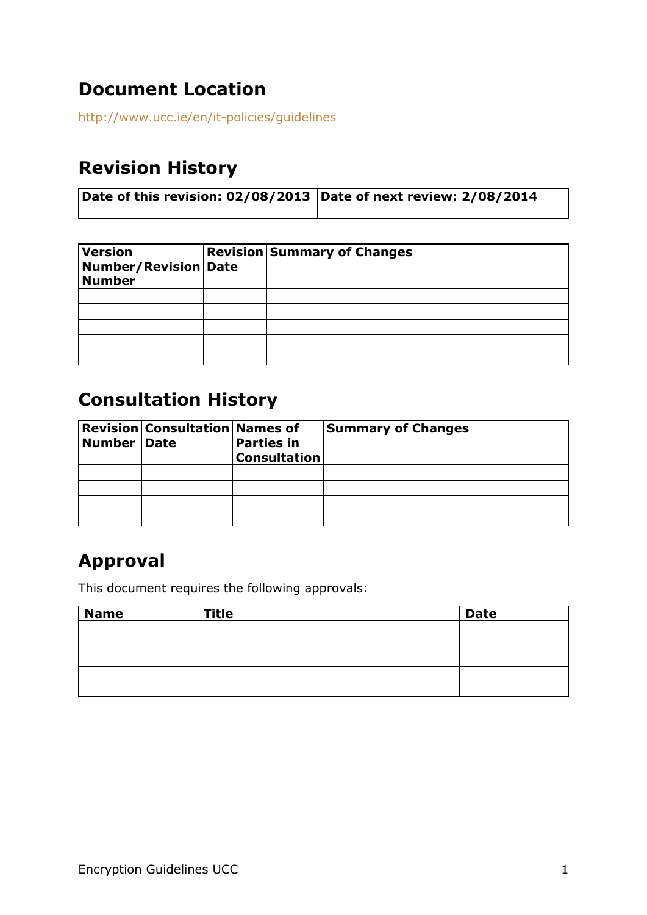### **Document Location**

<http://www.ucc.ie/en/it-policies/guidelines>

### **Revision History**

| Date of this revision: 02/08/2013 Date of next review: 2/08/2014 |  |
|------------------------------------------------------------------|--|

| <b>Version</b><br><b>Number/Revision Date</b><br><b>Number</b> | <b>Revision Summary of Changes</b> |
|----------------------------------------------------------------|------------------------------------|
|                                                                |                                    |
|                                                                |                                    |
|                                                                |                                    |
|                                                                |                                    |
|                                                                |                                    |

#### **Consultation History**

| <b>Number Date</b> | <b>Revision Consultation Names of</b> | <b>Parties in</b><br><b>Consultation</b> | <b>Summary of Changes</b> |
|--------------------|---------------------------------------|------------------------------------------|---------------------------|
|                    |                                       |                                          |                           |
|                    |                                       |                                          |                           |
|                    |                                       |                                          |                           |
|                    |                                       |                                          |                           |

### **Approval**

This document requires the following approvals:

| <b>Name</b> | <b>Title</b> | <b>Date</b> |
|-------------|--------------|-------------|
|             |              |             |
|             |              |             |
|             |              |             |
|             |              |             |
|             |              |             |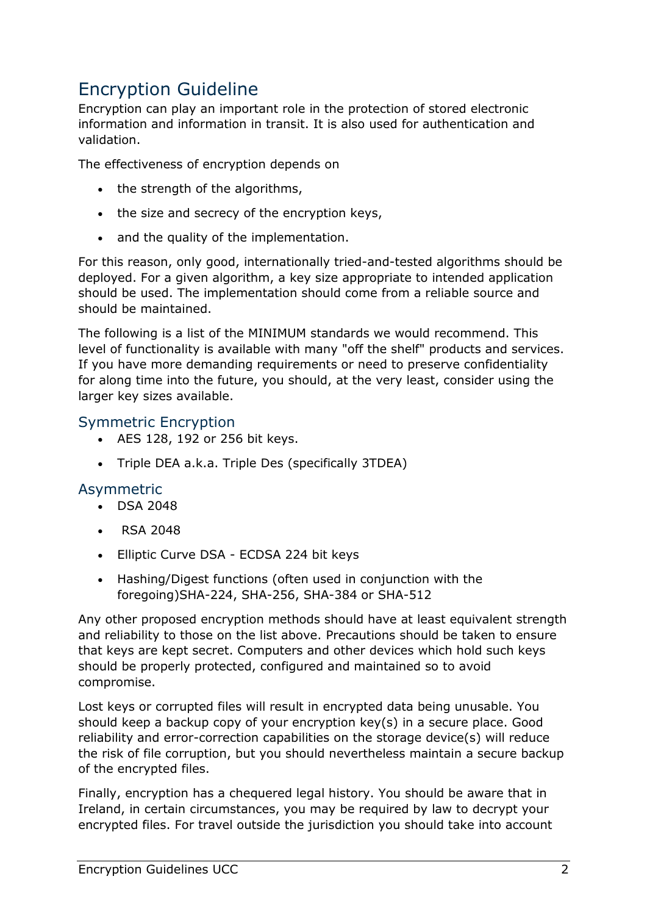## Encryption Guideline

Encryption can play an important role in the protection of stored electronic information and information in transit. It is also used for authentication and validation.

The effectiveness of encryption depends on

- the strength of the algorithms,
- the size and secrecy of the encryption keys,
- and the quality of the implementation.

For this reason, only good, internationally tried-and-tested algorithms should be deployed. For a given algorithm, a key size appropriate to intended application should be used. The implementation should come from a reliable source and should be maintained.

The following is a list of the MINIMUM standards we would recommend. This level of functionality is available with many "off the shelf" products and services. If you have more demanding requirements or need to preserve confidentiality for along time into the future, you should, at the very least, consider using the larger key sizes available.

#### Symmetric Encryption

- AES 128, 192 or 256 bit keys.
- Triple DEA a.k.a. Triple Des (specifically 3TDEA)

#### Asymmetric

- DSA 2048
- RSA 2048
- Elliptic Curve DSA ECDSA 224 bit keys
- Hashing/Digest functions (often used in conjunction with the foregoing)SHA-224, SHA-256, SHA-384 or SHA-512

Any other proposed encryption methods should have at least equivalent strength and reliability to those on the list above. Precautions should be taken to ensure that keys are kept secret. Computers and other devices which hold such keys should be properly protected, configured and maintained so to avoid compromise.

Lost keys or corrupted files will result in encrypted data being unusable. You should keep a backup copy of your encryption key(s) in a secure place. Good reliability and error-correction capabilities on the storage device(s) will reduce the risk of file corruption, but you should nevertheless maintain a secure backup of the encrypted files.

Finally, encryption has a chequered legal history. You should be aware that in Ireland, in certain circumstances, you may be required by law to decrypt your encrypted files. For travel outside the jurisdiction you should take into account